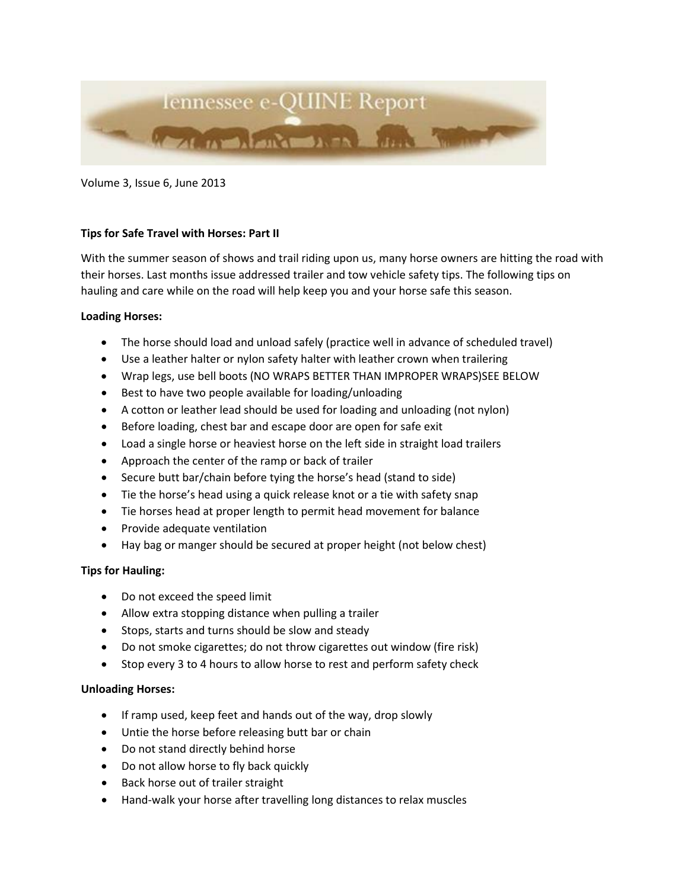

Volume 3, Issue 6, June 2013

# **Tips for Safe Travel with Horses: Part II**

With the summer season of shows and trail riding upon us, many horse owners are hitting the road with their horses. Last months issue addressed trailer and tow vehicle safety tips. The following tips on hauling and care while on the road will help keep you and your horse safe this season.

#### **Loading Horses:**

- The horse should load and unload safely (practice well in advance of scheduled travel)
- Use a leather halter or nylon safety halter with leather crown when trailering
- Wrap legs, use bell boots (NO WRAPS BETTER THAN IMPROPER WRAPS)SEE BELOW
- Best to have two people available for loading/unloading
- A cotton or leather lead should be used for loading and unloading (not nylon)
- Before loading, chest bar and escape door are open for safe exit
- Load a single horse or heaviest horse on the left side in straight load trailers
- Approach the center of the ramp or back of trailer
- Secure butt bar/chain before tying the horse's head (stand to side)
- Tie the horse's head using a quick release knot or a tie with safety snap
- Tie horses head at proper length to permit head movement for balance
- Provide adequate ventilation
- Hay bag or manger should be secured at proper height (not below chest)

# **Tips for Hauling:**

- Do not exceed the speed limit
- Allow extra stopping distance when pulling a trailer
- Stops, starts and turns should be slow and steady
- Do not smoke cigarettes; do not throw cigarettes out window (fire risk)
- Stop every 3 to 4 hours to allow horse to rest and perform safety check

# **Unloading Horses:**

- If ramp used, keep feet and hands out of the way, drop slowly
- Untie the horse before releasing butt bar or chain
- Do not stand directly behind horse
- Do not allow horse to fly back quickly
- Back horse out of trailer straight
- Hand-walk your horse after travelling long distances to relax muscles